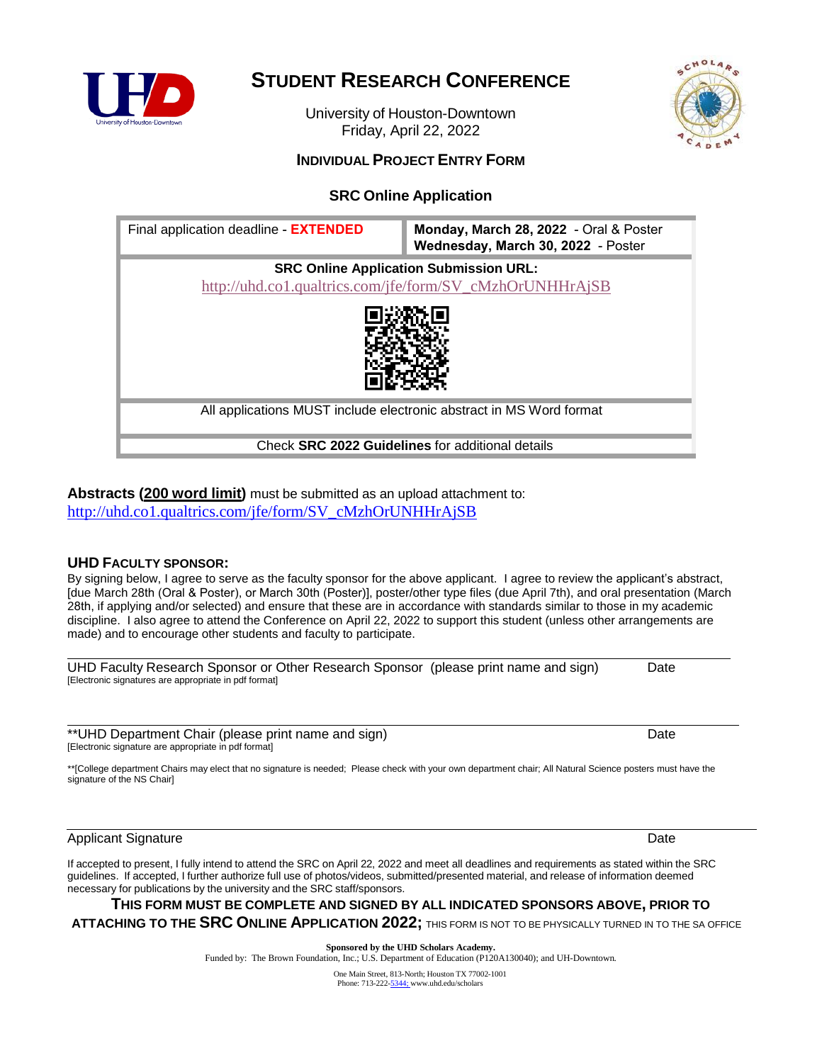

# **STUDENT RESEARCH CONFERENCE**

University of Houston-Downtown Friday, April 22, 2022



## **INDIVIDUAL PROJECT ENTRY FORM**

# **SRC Online Application**



### **Abstracts (200 word limit)** must be submitted as an upload attachment to: [http://uhd.co1.qualtrics.com/jfe/form/SV\\_cMzhOrUNHHrAjSB](http://uhd.co1.qualtrics.com/jfe/form/SV_cMzhOrUNHHrAjSB)

## **UHD FACULTY SPONSOR:**

By signing below, I agree to serve as the faculty sponsor for the above applicant. I agree to review the applicant's abstract, [due March 28th (Oral & Poster), or March 30th (Poster)], poster/other type files (due April 7th), and oral presentation (March 28th, if applying and/or selected) and ensure that these are in accordance with standards similar to those in my academic discipline. I also agree to attend the Conference on April 22, 2022 to support this student (unless other arrangements are made) and to encourage other students and faculty to participate.

| UHD Faculty Research Sponsor or Other Research Sponsor (please print name and sign) | Date |
|-------------------------------------------------------------------------------------|------|
| [Electronic signatures are appropriate in pdf format]                               |      |

\*\*UHD Department Chair (please print name and sign) Date [Electronic signature are appropriate in pdf format]

\*\*[College department Chairs may elect that no signature is needed; Please check with your own department chair; All Natural Science posters must have the signature of the NS Chair]

### Applicant Signature Date Applicant Signature Date Applicant Signature Date Date Applicant Signature Date

If accepted to present, I fully intend to attend the SRC on April 22, 2022 and meet all deadlines and requirements as stated within the SRC guidelines. If accepted, I further authorize full use of photos/videos, submitted/presented material, and release of information deemed necessary for publications by the university and the SRC staff/sponsors.

## **THIS FORM MUST BE COMPLETE AND SIGNED BY ALL INDICATED SPONSORS ABOVE, PRIOR TO ATTACHING TO THE SRC ONLINE APPLICATION 2022;** THIS FORM IS NOT TO BE PHYSICALLY TURNED IN TO THE SA OFFICE

**Sponsored by the UHD Scholars Academy.** Funded by: The Brown Foundation, Inc.; U.S. Department of Education (P120A130040); and UH-Downtown.

> One Main Street, 813-North; Houston TX 77002-1001 Phone: 713-22[2-5344;](http://5344;/) [www.uhd.edu/scholars](http://5344;/)